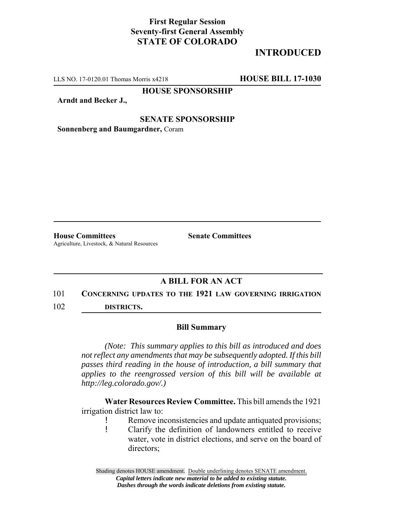## **First Regular Session Seventy-first General Assembly STATE OF COLORADO**

## **INTRODUCED**

LLS NO. 17-0120.01 Thomas Morris x4218 **HOUSE BILL 17-1030**

**HOUSE SPONSORSHIP**

**Arndt and Becker J.,**

#### **SENATE SPONSORSHIP**

**Sonnenberg and Baumgardner,** Coram

**House Committees Senate Committees** Agriculture, Livestock, & Natural Resources

## **A BILL FOR AN ACT**

#### 101 **CONCERNING UPDATES TO THE 1921 LAW GOVERNING IRRIGATION**

102 **DISTRICTS.**

### **Bill Summary**

*(Note: This summary applies to this bill as introduced and does not reflect any amendments that may be subsequently adopted. If this bill passes third reading in the house of introduction, a bill summary that applies to the reengrossed version of this bill will be available at http://leg.colorado.gov/.)*

**Water Resources Review Committee.** This bill amends the 1921 irrigation district law to:

- ! Remove inconsistencies and update antiquated provisions;
- ! Clarify the definition of landowners entitled to receive water, vote in district elections, and serve on the board of directors;

Shading denotes HOUSE amendment. Double underlining denotes SENATE amendment. *Capital letters indicate new material to be added to existing statute. Dashes through the words indicate deletions from existing statute.*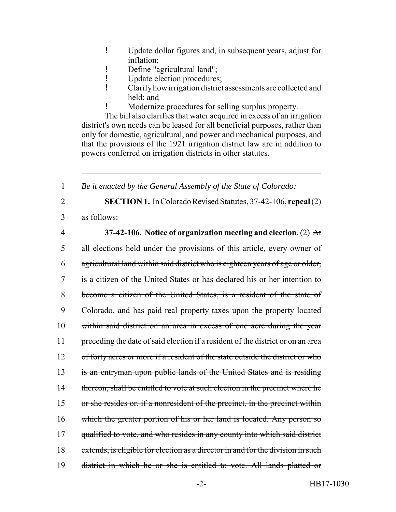- ! Update dollar figures and, in subsequent years, adjust for inflation;
- ! Define "agricultural land";
- ! Update election procedures;
- ! Clarify how irrigation district assessments are collected and held; and
- ! Modernize procedures for selling surplus property.

The bill also clarifies that water acquired in excess of an irrigation district's own needs can be leased for all beneficial purposes, rather than only for domestic, agricultural, and power and mechanical purposes, and that the provisions of the 1921 irrigation district law are in addition to powers conferred on irrigation districts in other statutes.

1 *Be it enacted by the General Assembly of the State of Colorado:*

- 2 **SECTION 1.** In Colorado Revised Statutes, 37-42-106, **repeal** (2)
- 

3 as follows:

# 4 **37-42-106. Notice of organization meeting and election.** (2) At

5 all elections held under the provisions of this article, every owner of 6 agricultural land within said district who is eighteen years of age or older, 7 is a citizen of the United States or has declared his or her intention to 8 become a citizen of the United States, is a resident of the state of 9 Colorado, and has paid real property taxes upon the property located 10 within said district on an area in excess of one acre during the year 11 preceding the date of said election if a resident of the district or on an area 12 of forty acres or more if a resident of the state outside the district or who 13 is an entryman upon public lands of the United States and is residing 14 thereon, shall be entitled to vote at such election in the precinct where he 15 or she resides or, if a nonresident of the precinct, in the precinct within 16 which the greater portion of his or her land is located. Any person so 17 qualified to vote, and who resides in any county into which said district 18 extends, is eligible for election as a director in and for the division in such 19 district in which he or she is entitled to vote. All lands platted or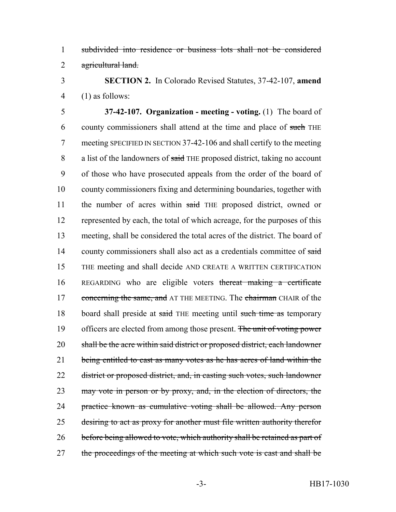1 subdivided into residence or business lots shall not be considered 2 agricultural land.

3 **SECTION 2.** In Colorado Revised Statutes, 37-42-107, **amend** 4 (1) as follows:

5 **37-42-107. Organization - meeting - voting.** (1) The board of 6 county commissioners shall attend at the time and place of such THE 7 meeting SPECIFIED IN SECTION 37-42-106 and shall certify to the meeting 8 a list of the landowners of said THE proposed district, taking no account 9 of those who have prosecuted appeals from the order of the board of 10 county commissioners fixing and determining boundaries, together with 11 the number of acres within said THE proposed district, owned or 12 represented by each, the total of which acreage, for the purposes of this 13 meeting, shall be considered the total acres of the district. The board of 14 county commissioners shall also act as a credentials committee of said 15 THE meeting and shall decide AND CREATE A WRITTEN CERTIFICATION 16 REGARDING who are eligible voters thereat making a certificate 17 concerning the same, and AT THE MEETING. The chairman CHAIR of the 18 board shall preside at said THE meeting until such time as temporary 19 officers are elected from among those present. The unit of voting power 20 shall be the acre within said district or proposed district, each landowner 21 being entitled to cast as many votes as he has acres of land within the 22 district or proposed district, and, in casting such votes, such landowner 23 may vote in person or by proxy, and, in the election of directors, the 24 practice known as cumulative voting shall be allowed. Any person 25 desiring to act as proxy for another must file written authority therefor 26 before being allowed to vote, which authority shall be retained as part of 27 the proceedings of the meeting at which such vote is cast and shall be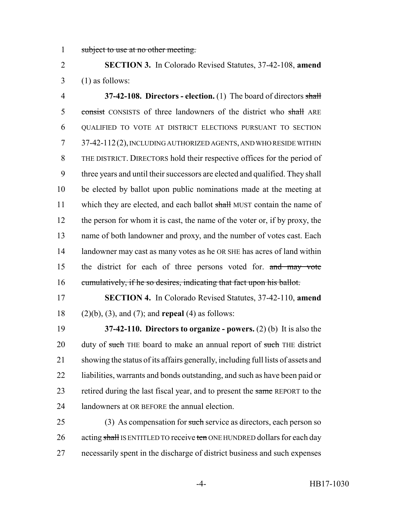1 subject to use at no other meeting.

 **SECTION 3.** In Colorado Revised Statutes, 37-42-108, **amend**  $3 \quad (1)$  as follows:

 **37-42-108. Directors - election.** (1) The board of directors shall 5 consist CONSISTS of three landowners of the district who shall ARE QUALIFIED TO VOTE AT DISTRICT ELECTIONS PURSUANT TO SECTION 37-42-112(2), INCLUDING AUTHORIZED AGENTS, AND WHO RESIDE WITHIN THE DISTRICT. DIRECTORS hold their respective offices for the period of three years and until their successors are elected and qualified. They shall be elected by ballot upon public nominations made at the meeting at 11 which they are elected, and each ballot shall MUST contain the name of the person for whom it is cast, the name of the voter or, if by proxy, the name of both landowner and proxy, and the number of votes cast. Each 14 landowner may cast as many votes as he OR SHE has acres of land within the district for each of three persons voted for. and may vote 16 cumulatively, if he so desires, indicating that fact upon his ballot.

 **SECTION 4.** In Colorado Revised Statutes, 37-42-110, **amend** (2)(b), (3), and (7); and **repeal** (4) as follows:

 **37-42-110. Directors to organize - powers.** (2) (b) It is also the 20 duty of such THE board to make an annual report of such THE district showing the status of its affairs generally, including full lists of assets and liabilities, warrants and bonds outstanding, and such as have been paid or 23 retired during the last fiscal year, and to present the same REPORT to the landowners at OR BEFORE the annual election.

25 (3) As compensation for such service as directors, each person so 26 acting shall IS ENTITLED TO receive ten ONE HUNDRED dollars for each day necessarily spent in the discharge of district business and such expenses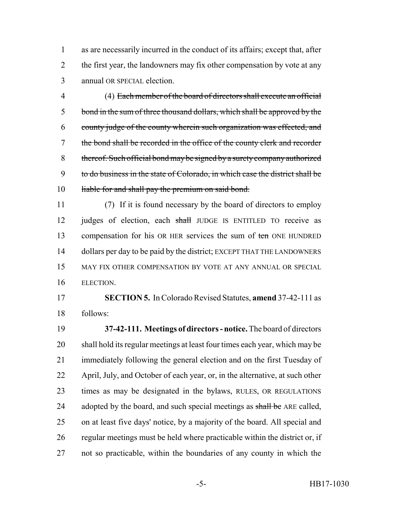as are necessarily incurred in the conduct of its affairs; except that, after 2 the first year, the landowners may fix other compensation by vote at any annual OR SPECIAL election.

 (4) Each member of the board of directors shall execute an official 5 bond in the sum of three thousand dollars, which shall be approved by the county judge of the county wherein such organization was effected, and the bond shall be recorded in the office of the county clerk and recorder thereof. Such official bond may be signed by a surety company authorized to do business in the state of Colorado, in which case the district shall be 10 liable for and shall pay the premium on said bond.

 (7) If it is found necessary by the board of directors to employ 12 judges of election, each shall JUDGE IS ENTITLED TO receive as 13 compensation for his OR HER services the sum of ten ONE HUNDRED 14 dollars per day to be paid by the district; EXCEPT THAT THE LANDOWNERS MAY FIX OTHER COMPENSATION BY VOTE AT ANY ANNUAL OR SPECIAL ELECTION.

 **SECTION 5.** In Colorado Revised Statutes, **amend** 37-42-111 as follows:

 **37-42-111. Meetings of directors - notice.** The board of directors shall hold its regular meetings at least four times each year, which may be immediately following the general election and on the first Tuesday of April, July, and October of each year, or, in the alternative, at such other times as may be designated in the bylaws, RULES, OR REGULATIONS 24 adopted by the board, and such special meetings as shall be ARE called, on at least five days' notice, by a majority of the board. All special and regular meetings must be held where practicable within the district or, if not so practicable, within the boundaries of any county in which the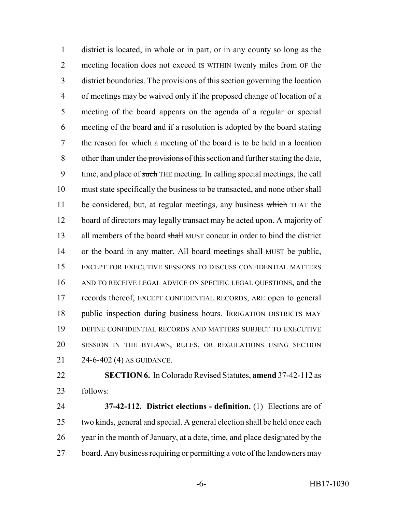district is located, in whole or in part, or in any county so long as the 2 meeting location does not exceed IS WITHIN twenty miles from OF the district boundaries. The provisions of this section governing the location of meetings may be waived only if the proposed change of location of a meeting of the board appears on the agenda of a regular or special meeting of the board and if a resolution is adopted by the board stating the reason for which a meeting of the board is to be held in a location 8 other than under the provisions of this section and further stating the date, 9 time, and place of such THE meeting. In calling special meetings, the call must state specifically the business to be transacted, and none other shall 11 be considered, but, at regular meetings, any business which THAT the board of directors may legally transact may be acted upon. A majority of 13 all members of the board shall MUST concur in order to bind the district 14 or the board in any matter. All board meetings shall MUST be public, EXCEPT FOR EXECUTIVE SESSIONS TO DISCUSS CONFIDENTIAL MATTERS AND TO RECEIVE LEGAL ADVICE ON SPECIFIC LEGAL QUESTIONS, and the records thereof, EXCEPT CONFIDENTIAL RECORDS, ARE open to general public inspection during business hours. IRRIGATION DISTRICTS MAY DEFINE CONFIDENTIAL RECORDS AND MATTERS SUBJECT TO EXECUTIVE SESSION IN THE BYLAWS, RULES, OR REGULATIONS USING SECTION 24-6-402 (4) AS GUIDANCE.

 **SECTION 6.** In Colorado Revised Statutes, **amend** 37-42-112 as follows:

 **37-42-112. District elections - definition.** (1) Elections are of two kinds, general and special. A general election shall be held once each year in the month of January, at a date, time, and place designated by the board. Any business requiring or permitting a vote of the landowners may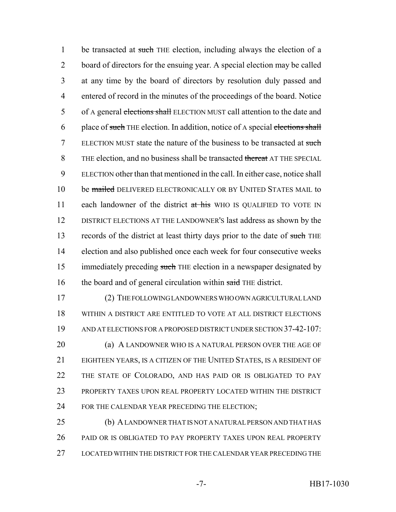1 be transacted at such THE election, including always the election of a 2 board of directors for the ensuing year. A special election may be called 3 at any time by the board of directors by resolution duly passed and 4 entered of record in the minutes of the proceedings of the board. Notice 5 of A general elections shall ELECTION MUST call attention to the date and 6 place of such THE election. In addition, notice of A special elections shall 7 ELECTION MUST state the nature of the business to be transacted at such 8 THE election, and no business shall be transacted thereat AT THE SPECIAL 9 ELECTION other than that mentioned in the call. In either case, notice shall 10 be mailed DELIVERED ELECTRONICALLY OR BY UNITED STATES MAIL to 11 each landowner of the district at his WHO IS QUALIFIED TO VOTE IN 12 DISTRICT ELECTIONS AT THE LANDOWNER'S last address as shown by the 13 records of the district at least thirty days prior to the date of such THE 14 election and also published once each week for four consecutive weeks 15 immediately preceding such THE election in a newspaper designated by 16 the board and of general circulation within said THE district.

 (2) THE FOLLOWING LANDOWNERS WHO OWN AGRICULTURAL LAND WITHIN A DISTRICT ARE ENTITLED TO VOTE AT ALL DISTRICT ELECTIONS AND AT ELECTIONS FOR A PROPOSED DISTRICT UNDER SECTION 37-42-107: **(a) A LANDOWNER WHO IS A NATURAL PERSON OVER THE AGE OF**  EIGHTEEN YEARS, IS A CITIZEN OF THE UNITED STATES, IS A RESIDENT OF THE STATE OF COLORADO, AND HAS PAID OR IS OBLIGATED TO PAY PROPERTY TAXES UPON REAL PROPERTY LOCATED WITHIN THE DISTRICT 24 FOR THE CALENDAR YEAR PRECEDING THE ELECTION;

25 (b) A LANDOWNER THAT IS NOT A NATURAL PERSON AND THAT HAS 26 PAID OR IS OBLIGATED TO PAY PROPERTY TAXES UPON REAL PROPERTY 27 LOCATED WITHIN THE DISTRICT FOR THE CALENDAR YEAR PRECEDING THE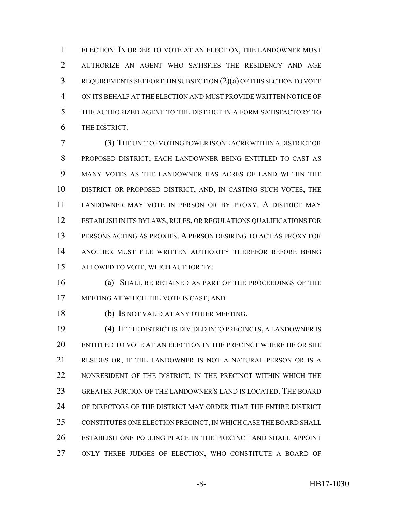ELECTION. IN ORDER TO VOTE AT AN ELECTION, THE LANDOWNER MUST AUTHORIZE AN AGENT WHO SATISFIES THE RESIDENCY AND AGE REQUIREMENTS SET FORTH IN SUBSECTION (2)(a) OF THIS SECTION TO VOTE ON ITS BEHALF AT THE ELECTION AND MUST PROVIDE WRITTEN NOTICE OF THE AUTHORIZED AGENT TO THE DISTRICT IN A FORM SATISFACTORY TO THE DISTRICT.

 (3) THE UNIT OF VOTING POWER IS ONE ACRE WITHIN A DISTRICT OR PROPOSED DISTRICT, EACH LANDOWNER BEING ENTITLED TO CAST AS MANY VOTES AS THE LANDOWNER HAS ACRES OF LAND WITHIN THE DISTRICT OR PROPOSED DISTRICT, AND, IN CASTING SUCH VOTES, THE LANDOWNER MAY VOTE IN PERSON OR BY PROXY. A DISTRICT MAY ESTABLISH IN ITS BYLAWS, RULES, OR REGULATIONS QUALIFICATIONS FOR PERSONS ACTING AS PROXIES. A PERSON DESIRING TO ACT AS PROXY FOR ANOTHER MUST FILE WRITTEN AUTHORITY THEREFOR BEFORE BEING ALLOWED TO VOTE, WHICH AUTHORITY:

 (a) SHALL BE RETAINED AS PART OF THE PROCEEDINGS OF THE MEETING AT WHICH THE VOTE IS CAST; AND

(b) IS NOT VALID AT ANY OTHER MEETING.

 (4) IF THE DISTRICT IS DIVIDED INTO PRECINCTS, A LANDOWNER IS ENTITLED TO VOTE AT AN ELECTION IN THE PRECINCT WHERE HE OR SHE RESIDES OR, IF THE LANDOWNER IS NOT A NATURAL PERSON OR IS A 22 NONRESIDENT OF THE DISTRICT, IN THE PRECINCT WITHIN WHICH THE GREATER PORTION OF THE LANDOWNER'S LAND IS LOCATED. THE BOARD OF DIRECTORS OF THE DISTRICT MAY ORDER THAT THE ENTIRE DISTRICT CONSTITUTES ONE ELECTION PRECINCT, IN WHICH CASE THE BOARD SHALL ESTABLISH ONE POLLING PLACE IN THE PRECINCT AND SHALL APPOINT ONLY THREE JUDGES OF ELECTION, WHO CONSTITUTE A BOARD OF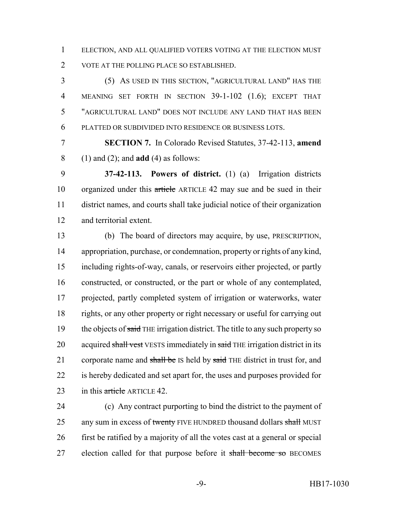ELECTION, AND ALL QUALIFIED VOTERS VOTING AT THE ELECTION MUST VOTE AT THE POLLING PLACE SO ESTABLISHED.

 (5) AS USED IN THIS SECTION, "AGRICULTURAL LAND" HAS THE MEANING SET FORTH IN SECTION 39-1-102 (1.6); EXCEPT THAT "AGRICULTURAL LAND" DOES NOT INCLUDE ANY LAND THAT HAS BEEN PLATTED OR SUBDIVIDED INTO RESIDENCE OR BUSINESS LOTS.

 **SECTION 7.** In Colorado Revised Statutes, 37-42-113, **amend** (1) and (2); and **add** (4) as follows:

 **37-42-113. Powers of district.** (1) (a) Irrigation districts organized under this article ARTICLE 42 may sue and be sued in their district names, and courts shall take judicial notice of their organization and territorial extent.

 (b) The board of directors may acquire, by use, PRESCRIPTION, appropriation, purchase, or condemnation, property or rights of any kind, including rights-of-way, canals, or reservoirs either projected, or partly constructed, or constructed, or the part or whole of any contemplated, projected, partly completed system of irrigation or waterworks, water rights, or any other property or right necessary or useful for carrying out 19 the objects of said THE irrigation district. The title to any such property so 20 acquired shall vest VESTS immediately in said THE irrigation district in its 21 corporate name and shall be IS held by said THE district in trust for, and is hereby dedicated and set apart for, the uses and purposes provided for 23 in this  $\frac{artele}{\text{article}}$  ARTICLE 42.

 (c) Any contract purporting to bind the district to the payment of 25 any sum in excess of twenty FIVE HUNDRED thousand dollars shall MUST first be ratified by a majority of all the votes cast at a general or special 27 election called for that purpose before it shall become so BECOMES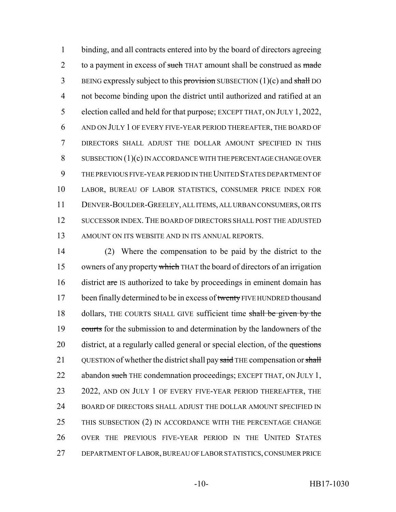binding, and all contracts entered into by the board of directors agreeing 2 to a payment in excess of such THAT amount shall be construed as made 3 BEING expressly subject to this provision SUBSECTION  $(1)(c)$  and shall DO not become binding upon the district until authorized and ratified at an election called and held for that purpose; EXCEPT THAT, ON JULY 1, 2022, AND ON JULY 1 OF EVERY FIVE-YEAR PERIOD THEREAFTER, THE BOARD OF DIRECTORS SHALL ADJUST THE DOLLAR AMOUNT SPECIFIED IN THIS SUBSECTION (1)(c) IN ACCORDANCE WITH THE PERCENTAGE CHANGE OVER THE PREVIOUS FIVE-YEAR PERIOD IN THE UNITED STATES DEPARTMENT OF LABOR, BUREAU OF LABOR STATISTICS, CONSUMER PRICE INDEX FOR DENVER-BOULDER-GREELEY, ALL ITEMS, ALL URBAN CONSUMERS, OR ITS SUCCESSOR INDEX.THE BOARD OF DIRECTORS SHALL POST THE ADJUSTED AMOUNT ON ITS WEBSITE AND IN ITS ANNUAL REPORTS.

14 (2) Where the compensation to be paid by the district to the 15 owners of any property which THAT the board of directors of an irrigation 16 district are IS authorized to take by proceedings in eminent domain has 17 been finally determined to be in excess of twenty FIVE HUNDRED thousand 18 dollars, THE COURTS SHALL GIVE sufficient time shall be given by the 19 courts for the submission to and determination by the landowners of the 20 district, at a regularly called general or special election, of the questions 21 QUESTION of whether the district shall pay said THE compensation or shall 22 abandon such THE condemnation proceedings; EXCEPT THAT, ON JULY 1, 23 2022, AND ON JULY 1 OF EVERY FIVE-YEAR PERIOD THEREAFTER, THE 24 BOARD OF DIRECTORS SHALL ADJUST THE DOLLAR AMOUNT SPECIFIED IN 25 THIS SUBSECTION (2) IN ACCORDANCE WITH THE PERCENTAGE CHANGE 26 OVER THE PREVIOUS FIVE-YEAR PERIOD IN THE UNITED STATES 27 DEPARTMENT OF LABOR, BUREAU OF LABOR STATISTICS, CONSUMER PRICE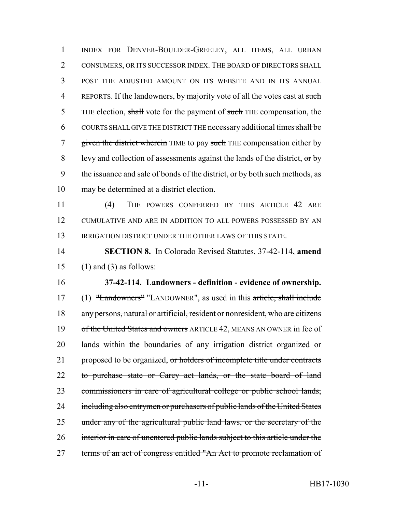INDEX FOR DENVER-BOULDER-GREELEY, ALL ITEMS, ALL URBAN CONSUMERS, OR ITS SUCCESSOR INDEX. THE BOARD OF DIRECTORS SHALL POST THE ADJUSTED AMOUNT ON ITS WEBSITE AND IN ITS ANNUAL 4 REPORTS. If the landowners, by majority vote of all the votes cast at such 5 THE election, shall vote for the payment of such THE compensation, the COURTS SHALL GIVE THE DISTRICT THE necessary additional times shall be 7 given the district wherein TIME to pay such THE compensation either by levy and collection of assessments against the lands of the district, or by the issuance and sale of bonds of the district, or by both such methods, as may be determined at a district election.

 (4) THE POWERS CONFERRED BY THIS ARTICLE 42 ARE CUMULATIVE AND ARE IN ADDITION TO ALL POWERS POSSESSED BY AN IRRIGATION DISTRICT UNDER THE OTHER LAWS OF THIS STATE.

 **SECTION 8.** In Colorado Revised Statutes, 37-42-114, **amend** 15 (1) and (3) as follows:

 **37-42-114. Landowners - definition - evidence of ownership.** 17 (1) "Landowners" "LANDOWNER", as used in this article, shall include any persons, natural or artificial, resident or nonresident, who are citizens 19 of the United States and owners ARTICLE 42, MEANS AN OWNER in fee of lands within the boundaries of any irrigation district organized or 21 proposed to be organized, or holders of incomplete title under contracts 22 to purchase state or Carey act lands, or the state board of land commissioners in care of agricultural college or public school lands, 24 including also entrymen or purchasers of public lands of the United States under any of the agricultural public land laws, or the secretary of the interior in care of unentered public lands subject to this article under the 27 terms of an act of congress entitled "An Act to promote reclamation of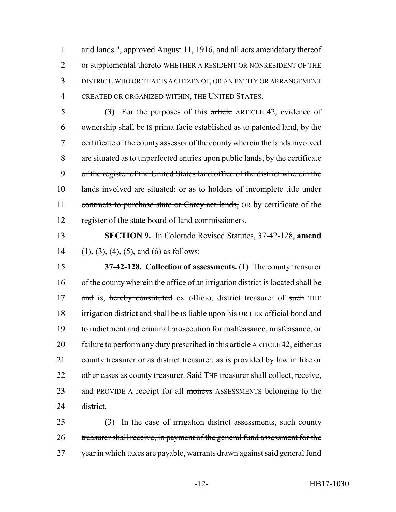arid lands.", approved August 11, 1916, and all acts amendatory thereof 2 or supplemental thereto WHETHER A RESIDENT OR NONRESIDENT OF THE DISTRICT, WHO OR THAT IS A CITIZEN OF, OR AN ENTITY OR ARRANGEMENT CREATED OR ORGANIZED WITHIN, THE UNITED STATES.

5 (3) For the purposes of this article ARTICLE 42, evidence of 6 ownership shall be IS prima facie established as to patented land, by the 7 certificate of the county assessor of the county wherein the lands involved 8 are situated as to unperfected entries upon public lands, by the certificate 9 of the register of the United States land office of the district wherein the 10 lands involved are situated; or as to holders of incomplete title under 11 contracts to purchase state or Carey act lands, OR by certificate of the 12 register of the state board of land commissioners.

13 **SECTION 9.** In Colorado Revised Statutes, 37-42-128, **amend** 14 (1), (3), (4), (5), and (6) as follows:

15 **37-42-128. Collection of assessments.** (1) The county treasurer 16 of the county wherein the office of an irrigation district is located shall be 17 and is, hereby constituted ex officio, district treasurer of such THE 18 irrigation district and shall be IS liable upon his OR HER official bond and 19 to indictment and criminal prosecution for malfeasance, misfeasance, or 20 failure to perform any duty prescribed in this article ARTICLE 42, either as 21 county treasurer or as district treasurer, as is provided by law in like or 22 other cases as county treasurer. Said THE treasurer shall collect, receive, 23 and PROVIDE A receipt for all moneys ASSESSMENTS belonging to the 24 district.

25 (3) In the case of irrigation district assessments, such county 26 treasurer shall receive, in payment of the general fund assessment for the 27 year in which taxes are payable, warrants drawn against said general fund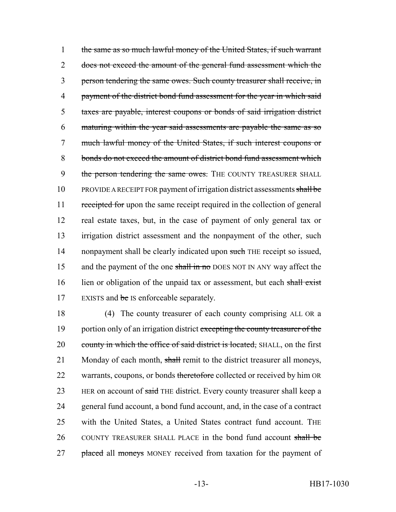1 the same as so much lawful money of the United States, if such warrant 2 does not exceed the amount of the general fund assessment which the 3 person tendering the same owes. Such county treasurer shall receive, in 4 payment of the district bond fund assessment for the year in which said 5 taxes are payable, interest coupons or bonds of said irrigation district 6 maturing within the year said assessments are payable the same as so 7 much lawful money of the United States, if such interest coupons or 8 bonds do not exceed the amount of district bond fund assessment which 9 the person tendering the same owes. THE COUNTY TREASURER SHALL 10 PROVIDE A RECEIPT FOR payment of irrigation district assessments shall be 11 receipted for upon the same receipt required in the collection of general 12 real estate taxes, but, in the case of payment of only general tax or 13 irrigation district assessment and the nonpayment of the other, such 14 nonpayment shall be clearly indicated upon such THE receipt so issued, 15 and the payment of the one shall in no DOES NOT IN ANY way affect the 16 lien or obligation of the unpaid tax or assessment, but each shall exist 17 EXISTS and be IS enforceable separately.

18 (4) The county treasurer of each county comprising ALL OR a 19 portion only of an irrigation district excepting the county treasurer of the 20 county in which the office of said district is located, SHALL, on the first 21 Monday of each month, shall remit to the district treasurer all moneys, 22 warrants, coupons, or bonds theretofore collected or received by him OR 23 HER on account of said THE district. Every county treasurer shall keep a 24 general fund account, a bond fund account, and, in the case of a contract 25 with the United States, a United States contract fund account. THE 26 COUNTY TREASURER SHALL PLACE in the bond fund account shall be 27 placed all moneys MONEY received from taxation for the payment of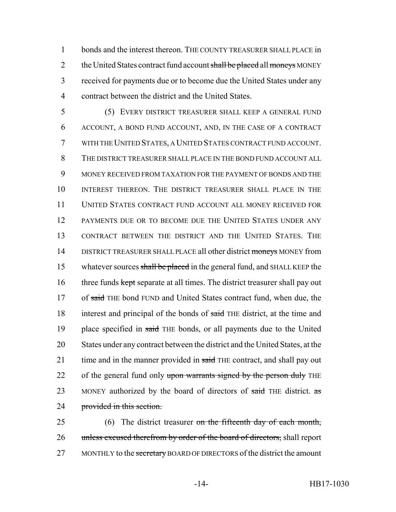bonds and the interest thereon. THE COUNTY TREASURER SHALL PLACE in 2 the United States contract fund account shall be placed all moneys MONEY received for payments due or to become due the United States under any contract between the district and the United States.

5 (5) EVERY DISTRICT TREASURER SHALL KEEP A GENERAL FUND 6 ACCOUNT, A BOND FUND ACCOUNT, AND, IN THE CASE OF A CONTRACT 7 WITH THE UNITED STATES, A UNITED STATES CONTRACT FUND ACCOUNT. 8 THE DISTRICT TREASURER SHALL PLACE IN THE BOND FUND ACCOUNT ALL 9 MONEY RECEIVED FROM TAXATION FOR THE PAYMENT OF BONDS AND THE 10 INTEREST THEREON. THE DISTRICT TREASURER SHALL PLACE IN THE 11 UNITED STATES CONTRACT FUND ACCOUNT ALL MONEY RECEIVED FOR 12 PAYMENTS DUE OR TO BECOME DUE THE UNITED STATES UNDER ANY 13 CONTRACT BETWEEN THE DISTRICT AND THE UNITED STATES. THE 14 DISTRICT TREASURER SHALL PLACE all other district moneys MONEY from 15 whatever sources shall be placed in the general fund, and SHALL KEEP the 16 three funds kept separate at all times. The district treasurer shall pay out 17 of said THE bond FUND and United States contract fund, when due, the 18 interest and principal of the bonds of said THE district, at the time and 19 place specified in said THE bonds, or all payments due to the United 20 States under any contract between the district and the United States, at the 21 time and in the manner provided in said THE contract, and shall pay out 22 of the general fund only upon warrants signed by the person duly THE 23 MONEY authorized by the board of directors of said THE district.  $\text{as}$ 24 **provided in this section.** 

25 (6) The district treasurer on the fifteenth day of each month, 26 unless excused therefrom by order of the board of directors, shall report 27 MONTHLY to the secretary BOARD OF DIRECTORS of the district the amount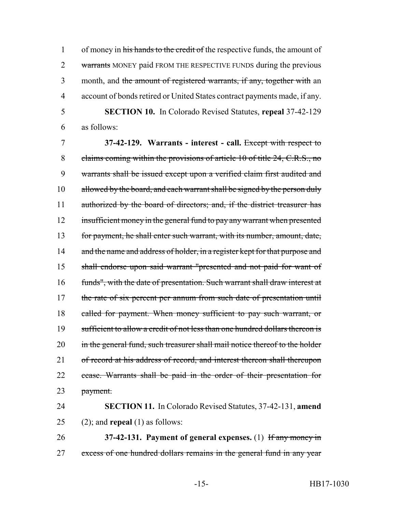1 of money in his hands to the credit of the respective funds, the amount of 2 warrants MONEY paid FROM THE RESPECTIVE FUNDS during the previous 3 month, and the amount of registered warrants, if any, together with an 4 account of bonds retired or United States contract payments made, if any.

5 **SECTION 10.** In Colorado Revised Statutes, **repeal** 37-42-129 6 as follows:

7 **37-42-129. Warrants - interest - call.** Except with respect to 8 claims coming within the provisions of article 10 of title 24, C.R.S., no 9 warrants shall be issued except upon a verified claim first audited and 10 allowed by the board, and each warrant shall be signed by the person duly 11 authorized by the board of directors; and, if the district treasurer has 12 insufficient money in the general fund to pay any warrant when presented 13 for payment, he shall enter such warrant, with its number, amount, date, 14 and the name and address of holder, in a register kept for that purpose and 15 shall endorse upon said warrant "presented and not paid for want of 16 funds", with the date of presentation. Such warrant shall draw interest at 17 the rate of six percent per annum from such date of presentation until 18 called for payment. When money sufficient to pay such warrant, or 19 sufficient to allow a credit of not less than one hundred dollars thereon is 20 in the general fund, such treasurer shall mail notice thereof to the holder 21 of record at his address of record, and interest thereon shall thereupon 22 cease. Warrants shall be paid in the order of their presentation for 23 payment.

24 **SECTION 11.** In Colorado Revised Statutes, 37-42-131, **amend** 25 (2); and **repeal** (1) as follows:

26 **37-42-131. Payment of general expenses.** (1) If any money in 27 excess of one hundred dollars remains in the general fund in any year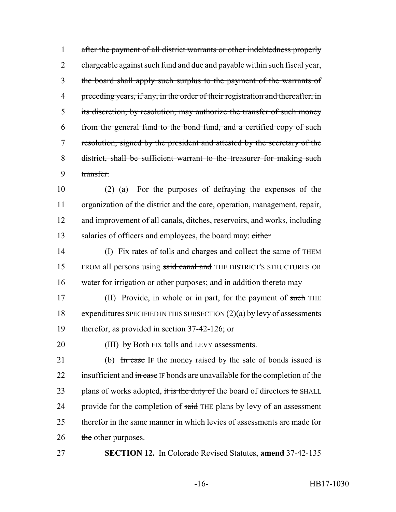after the payment of all district warrants or other indebtedness properly 2 chargeable against such fund and due and payable within such fiscal year, the board shall apply such surplus to the payment of the warrants of 4 preceding years, if any, in the order of their registration and thereafter, in its discretion, by resolution, may authorize the transfer of such money from the general fund to the bond fund, and a certified copy of such resolution, signed by the president and attested by the secretary of the district, shall be sufficient warrant to the treasurer for making such transfer.

 (2) (a) For the purposes of defraying the expenses of the organization of the district and the care, operation, management, repair, and improvement of all canals, ditches, reservoirs, and works, including 13 salaries of officers and employees, the board may: either

14 (I) Fix rates of tolls and charges and collect the same of THEM 15 FROM all persons using said canal and THE DISTRICT'S STRUCTURES OR 16 water for irrigation or other purposes; and in addition thereto may

17 (II) Provide, in whole or in part, for the payment of such THE 18 expenditures SPECIFIED IN THIS SUBSECTION (2)(a) by levy of assessments 19 therefor, as provided in section 37-42-126; or

20 (III)  $by$  Both FIX tolls and LEVY assessments.

21 (b) In case IF the money raised by the sale of bonds issued is 22 insufficient and in case IF bonds are unavailable for the completion of the 23 plans of works adopted, it is the duty of the board of directors to SHALL 24 provide for the completion of said THE plans by levy of an assessment 25 therefor in the same manner in which levies of assessments are made for 26 the other purposes.

27 **SECTION 12.** In Colorado Revised Statutes, **amend** 37-42-135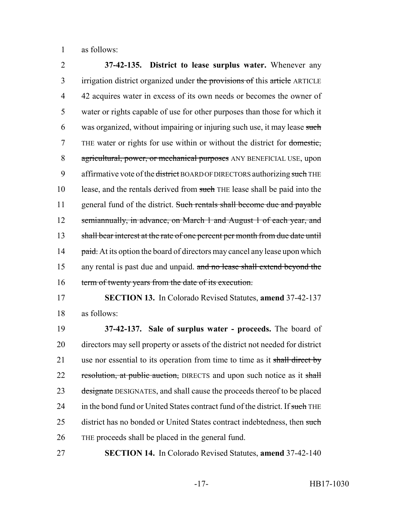1 as follows:

2 **37-42-135. District to lease surplus water.** Whenever any 3 irrigation district organized under the provisions of this article ARTICLE 4 42 acquires water in excess of its own needs or becomes the owner of 5 water or rights capable of use for other purposes than those for which it 6 was organized, without impairing or injuring such use, it may lease such 7 THE water or rights for use within or without the district for domestic, 8 agricultural, power, or mechanical purposes ANY BENEFICIAL USE, upon 9 affirmative vote of the district BOARD OF DIRECTORS authorizing such THE 10 lease, and the rentals derived from such THE lease shall be paid into the 11 general fund of the district. Such rentals shall become due and payable 12 semiannually, in advance, on March 1 and August 1 of each year, and 13 shall bear interest at the rate of one percent per month from due date until 14 paid. At its option the board of directors may cancel any lease upon which 15 any rental is past due and unpaid. and no lease shall extend beyond the 16 term of twenty years from the date of its execution.

17 **SECTION 13.** In Colorado Revised Statutes, **amend** 37-42-137 18 as follows:

19 **37-42-137. Sale of surplus water - proceeds.** The board of 20 directors may sell property or assets of the district not needed for district 21 use nor essential to its operation from time to time as it shall direct by 22 resolution, at public auction, DIRECTS and upon such notice as it shall 23 designate DESIGNATES, and shall cause the proceeds thereof to be placed 24 in the bond fund or United States contract fund of the district. If such THE 25 district has no bonded or United States contract indebtedness, then such 26 THE proceeds shall be placed in the general fund.

27 **SECTION 14.** In Colorado Revised Statutes, **amend** 37-42-140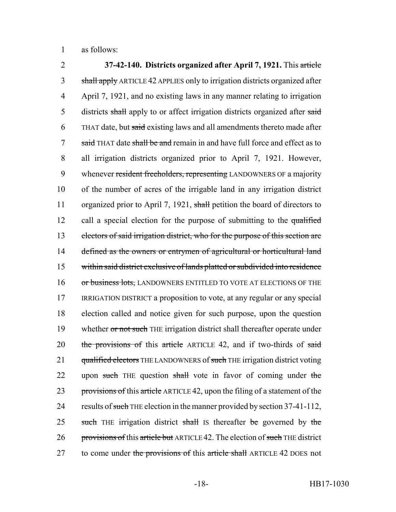1 as follows:

2 **37-42-140. Districts organized after April 7, 1921.** This article 3 shall apply ARTICLE 42 APPLIES only to irrigation districts organized after 4 April 7, 1921, and no existing laws in any manner relating to irrigation 5 districts shall apply to or affect irrigation districts organized after said 6 THAT date, but said existing laws and all amendments thereto made after 7 said THAT date shall be and remain in and have full force and effect as to 8 all irrigation districts organized prior to April 7, 1921. However, 9 whenever resident freeholders, representing LANDOWNERS OF a majority 10 of the number of acres of the irrigable land in any irrigation district 11 organized prior to April 7, 1921, shall petition the board of directors to 12 call a special election for the purpose of submitting to the qualified 13 electors of said irrigation district, who for the purpose of this section are 14 defined as the owners or entrymen of agricultural or horticultural land 15 within said district exclusive of lands platted or subdivided into residence 16 or business lots, LANDOWNERS ENTITLED TO VOTE AT ELECTIONS OF THE 17 IRRIGATION DISTRICT a proposition to vote, at any regular or any special 18 election called and notice given for such purpose, upon the question 19 whether or not such THE irrigation district shall thereafter operate under 20 the provisions of this article ARTICLE 42, and if two-thirds of said 21 qualified electors THE LANDOWNERS of such THE irrigation district voting 22 upon such THE question shall vote in favor of coming under the 23 provisions of this article ARTICLE 42, upon the filing of a statement of the 24 results of such THE election in the manner provided by section 37-41-112, 25 such THE irrigation district shall IS thereafter be governed by the 26 provisions of this article but ARTICLE 42. The election of such THE district 27 to come under the provisions of this article shall ARTICLE 42 DOES not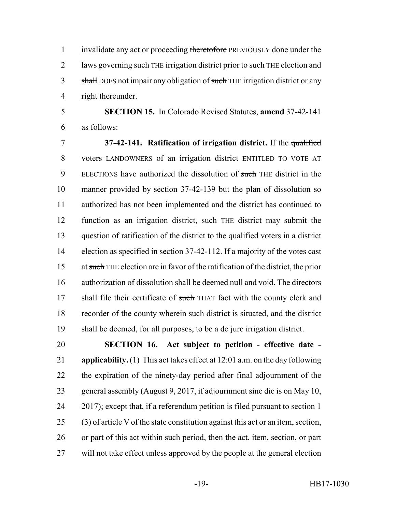1 invalidate any act or proceeding theretofore PREVIOUSLY done under the 2 laws governing such THE irrigation district prior to such THE election and 3 shall DOES not impair any obligation of such THE irrigation district or any right thereunder.

 **SECTION 15.** In Colorado Revised Statutes, **amend** 37-42-141 as follows:

 **37-42-141. Ratification of irrigation district.** If the qualified 8 voters LANDOWNERS of an irrigation district ENTITLED TO VOTE AT 9 ELECTIONS have authorized the dissolution of such THE district in the manner provided by section 37-42-139 but the plan of dissolution so authorized has not been implemented and the district has continued to 12 function as an irrigation district, such THE district may submit the question of ratification of the district to the qualified voters in a district election as specified in section 37-42-112. If a majority of the votes cast at such THE election are in favor of the ratification of the district, the prior authorization of dissolution shall be deemed null and void. The directors 17 shall file their certificate of such THAT fact with the county clerk and recorder of the county wherein such district is situated, and the district shall be deemed, for all purposes, to be a de jure irrigation district.

 **SECTION 16. Act subject to petition - effective date - applicability.** (1) This act takes effect at 12:01 a.m. on the day following the expiration of the ninety-day period after final adjournment of the general assembly (August 9, 2017, if adjournment sine die is on May 10, 2017); except that, if a referendum petition is filed pursuant to section 1 (3) of article V of the state constitution against this act or an item, section, or part of this act within such period, then the act, item, section, or part will not take effect unless approved by the people at the general election